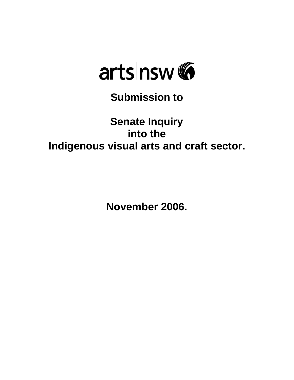

**Submission to** 

# **Senate Inquiry into the Indigenous visual arts and craft sector.**

**November 2006.**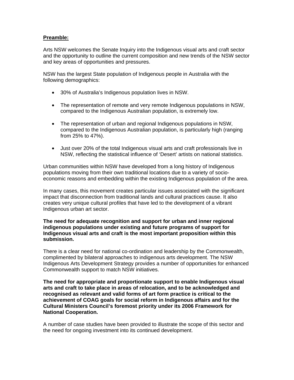#### **Preamble:**

Arts NSW welcomes the Senate Inquiry into the Indigenous visual arts and craft sector and the opportunity to outline the current composition and new trends of the NSW sector and key areas of opportunities and pressures.

NSW has the largest State population of Indigenous people in Australia with the following demographics:

- 30% of Australia's Indigenous population lives in NSW.
- The representation of remote and very remote Indigenous populations in NSW, compared to the Indigenous Australian population, is extremely low.
- The representation of urban and regional Indigenous populations in NSW, compared to the Indigenous Australian population, is particularly high (ranging from 25% to 47%).
- Just over 20% of the total Indigenous visual arts and craft professionals live in NSW, reflecting the statistical influence of 'Desert' artists on national statistics.

Urban communities within NSW have developed from a long history of Indigenous populations moving from their own traditional locations due to a variety of socioeconomic reasons and embedding within the existing Indigenous population of the area.

In many cases, this movement creates particular issues associated with the significant impact that disconnection from traditional lands and cultural practices cause. It also creates very unique cultural profiles that have led to the development of a vibrant Indigenous urban art sector.

#### **The need for adequate recognition and support for urban and inner regional indigenous populations under existing and future programs of support for Indigenous visual arts and craft is the most important proposition within this submission.**

There is a clear need for national co-ordination and leadership by the Commonwealth, complimented by bilateral approaches to indigenous arts development. The NSW Indigenous Arts Development Strategy provides a number of opportunities for enhanced Commonwealth support to match NSW initiatives.

**The need for appropriate and proportionate support to enable Indigenous visual arts and craft to take place in areas of relocation, and to be acknowledged and recognised as relevant and valid forms of art form practice is critical to the achievement of COAG goals for social reform in Indigenous affairs and for the Cultural Ministers Council's foremost priority under its 2006 Framework for National Cooperation.** 

A number of case studies have been provided to illustrate the scope of this sector and the need for ongoing investment into its continued development.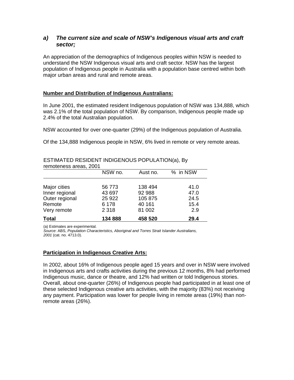# *a) The current size and scale of NSW's Indigenous visual arts and craft sector;*

An appreciation of the demographics of Indigenous peoples within NSW is needed to understand the NSW Indigenous visual arts and craft sector. NSW has the largest population of Indigenous people in Australia with a population base centred within both major urban areas and rural and remote areas.

# **Number and Distribution of Indigenous Australians:**

In June 2001, the estimated resident Indigenous population of NSW was 134,888, which was 2.1% of the total population of NSW. By comparison, Indigenous people made up 2.4% of the total Australian population.

NSW accounted for over one-quarter (29%) of the Indigenous population of Australia.

Of the 134,888 Indigenous people in NSW, 6% lived in remote or very remote areas.

# ESTIMATED RESIDENT INDIGENOUS POPULATION(a), By

| remoteness areas, 2001 |         |          |          |  |  |
|------------------------|---------|----------|----------|--|--|
|                        | NSW no. | Aust no. | % in NSW |  |  |
|                        |         |          |          |  |  |
| Major cities           | 56 773  | 138 494  | 41.0     |  |  |
| Inner regional         | 43 697  | 92 988   | 47.0     |  |  |
| Outer regional         | 25 9 22 | 105 875  | 24.5     |  |  |
| Remote                 | 6 1 7 8 | 40 161   | 15.4     |  |  |
| Very remote            | 2 3 1 8 | 81 002   | 2.9      |  |  |
| <b>Total</b>           | 134 888 | 458 520  | 29.4     |  |  |

(a) Estimates are experimental.

*Source*: ABS, *Population Characteristics, Aboriginal and Torres Strait Islander Australians, 2001* (cat. no. 4713.0).

#### **Participation in Indigenous Creative Arts:**

In 2002, about 16% of Indigenous people aged 15 years and over in NSW were involved in Indigenous arts and crafts activities during the previous 12 months, 8% had performed Indigenous music, dance or theatre, and 12% had written or told Indigenous stories. Overall, about one-quarter (26%) of Indigenous people had participated in at least one of these selected Indigenous creative arts activities, with the majority (83%) not receiving any payment. Participation was lower for people living in remote areas (19%) than nonremote areas (26%).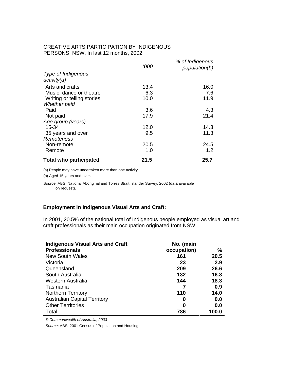#### CREATIVE ARTS PARTICIPATION BY INDIGENOUS PERSONS, NSW, In last 12 months, 2002

|                               | '000 | % of Indigenous<br>population(b) |
|-------------------------------|------|----------------------------------|
| Type of Indigenous            |      |                                  |
| activity(a)                   |      |                                  |
| Arts and crafts               | 13.4 | 16.0                             |
| Music, dance or theatre       | 6.3  | 7.6                              |
| Writing or telling stories    | 10.0 | 11.9                             |
| <b>Whether paid</b>           |      |                                  |
| Paid                          | 3.6  | 4.3                              |
| Not paid                      | 17.9 | 21.4                             |
| Age group (years)             |      |                                  |
| 15-34                         | 12.0 | 14.3                             |
| 35 years and over             | 9.5  | 11.3                             |
| Remoteness                    |      |                                  |
| Non-remote                    | 20.5 | 24.5                             |
| Remote                        | 1.0  | 1.2                              |
| <b>Total who participated</b> | 21.5 | 25.7                             |

(a) People may have undertaken more than one activity.

(b) Aged 15 years and over.

*Source*: ABS, National Aboriginal and Torres Strait Islander Survey, 2002 (data available on request).

#### **Employment in Indigenous Visual Arts and Craft:**

In 2001, 20.5% of the national total of Indigenous people employed as visual art and craft professionals as their main occupation originated from NSW.

| <b>Indigenous Visual Arts and Craft</b> | No. (main   |       |
|-----------------------------------------|-------------|-------|
| <b>Professionals</b>                    | occupation) | $\%$  |
| <b>New South Wales</b>                  | 161         | 20.5  |
| Victoria                                | 23          | 2.9   |
| Queensland                              | 209         | 26.6  |
| South Australia                         | 132         | 16.8  |
| Western Australia                       | 144         | 18.3  |
| Tasmania                                |             | 0.9   |
| Northern Territory                      | 110         | 14.0  |
| <b>Australian Capital Territory</b>     | 0           | 0.0   |
| <b>Other Territories</b>                | 0           | 0.0   |
| Total                                   | 786         | 100.0 |

*© Commonwealth of Australia, 2003* 

*Source*: ABS, 2001 Census of Population and Housing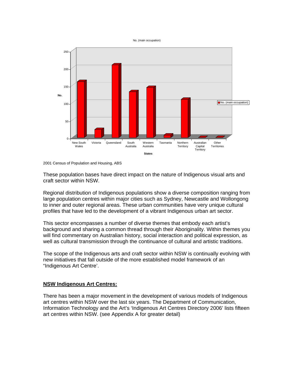No. (main occupation)



<sup>2001</sup> Census of Population and Housing, ABS

These population bases have direct impact on the nature of Indigenous visual arts and craft sector within NSW.

Regional distribution of Indigenous populations show a diverse composition ranging from large population centres within major cities such as Sydney, Newcastle and Wollongong to inner and outer regional areas. These urban communities have very unique cultural profiles that have led to the development of a vibrant Indigenous urban art sector.

This sector encompasses a number of diverse themes that embody each artist's background and sharing a common thread through their Aboriginality. Within themes you will find commentary on Australian history, social interaction and political expression, as well as cultural transmission through the continuance of cultural and artistic traditions.

The scope of the Indigenous arts and craft sector within NSW is continually evolving with new initiatives that fall outside of the more established model framework of an "Indigenous Art Centre'.

#### **NSW Indigenous Art Centres:**

There has been a major movement in the development of various models of Indigenous art centres within NSW over the last six years. The Department of Communication, Information Technology and the Art's 'Indigenous Art Centres Directory 2006' lists fifteen art centres within NSW. (see Appendix A for greater detail)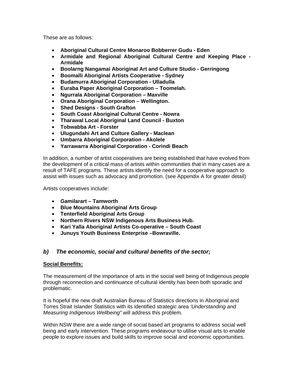These are as follows:

- **Aboriginal Cultural Centre Monaroo Bobberrer Gudu Eden**
- **Armidale and Regional Aboriginal Cultural Centre and Keeping Place Armidale**
- **Boolarng Nangamai Aboriginal Art and Culture Studio Gerringong**
- **Boomalli Aboriginal Artists Cooperative Sydney**
- **Budamurra Aboriginal Corporation Ulladulla**
- **Euraba Paper Aboriginal Corporation Toomelah.**
- **Ngurrala Aboriginal Corporation Maxville**
- **Orana Aboriginal Corporation Wellington.**
- **Shed Designs South Grafton**
- **South Coast Aboriginal Cultural Centre Nowra**
- **Tharawal Local Aboriginal Land Council Buxton**
- **Tobwabba Art Forster**
- **Ulugundahi Art and Culture Gallery Maclean**
- **Umbarra Aboriginal Corporation Akolele**
- **Yarrawarra Aboriginal Corporation Corindi Beach**

In addition, a number of artist cooperatives are being established that have evolved from the development of a critical mass of artists within communities that in many cases are a result of TAFE programs. These artists identify the need for a cooperative approach to assist with issues such as advocacy and promotion. (see Appendix A for greater detail)

Artists cooperatives include:

- **Gamilarart Tamworth**
- **Blue Mountains Aboriginal Arts Group**
- **Tenterfield Aboriginal Arts Group**
- **Northern Rivers NSW Indigenous Arts Business Hub.**
- **Kari Yalla Aboriginal Artists Co-operative South Coast**
- **Junuys Youth Business Enterprise –Bowraville.**

# *b) The economic, social and cultural benefits of the sector;*

# **Social Benefits:**

The measurement of the importance of arts in the social well being of Indigenous people through reconnection and continuance of cultural identity has been both sporadic and problematic.

It is hopeful the new draft Australian Bureau of Statistics directions in Aboriginal and Torres Strait Islander Statistics with its identified strategic area *'Understanding and Measuring Indigenous Wellbeing"* will address this problem*.*

Within NSW there are a wide range of social based art programs to address social well being and early intervention. These programs endeavour to utilise visual arts to enable people to explore issues and build skills to improve social and economic opportunities.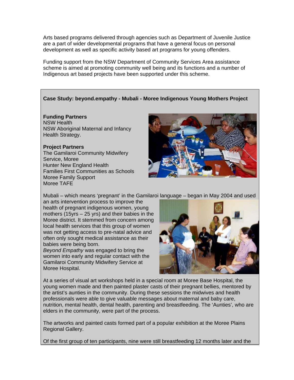Arts based programs delivered through agencies such as Department of Juvenile Justice are a part of wider developmental programs that have a general focus on personal development as well as specific activity based art programs for young offenders.

Funding support from the NSW Department of Community Services Area assistance scheme is aimed at promoting community well being and its functions and a number of Indigenous art based projects have been supported under this scheme.

# **Case Study: beyond.empathy - Mubali - Moree Indigenous Young Mothers Project**

**Funding Partners** NSW Health NSW Aboriginal Maternal and Infancy Health Strategy.

# **Project Partners**

The Gamilaroi Community Midwifery Service, Moree Hunter New England Health Families First Communities as Schools Moree Family Support Moree TAFE



Mubali – which means 'pregnant' in the Gamilaroi language – began in May 2004 and used

an arts intervention process to improve the health of pregnant indigenous women, young mothers (15yrs – 25 yrs) and their babies in the Moree district. It stemmed from concern among local health services that this group of women was not getting access to pre-natal advice and often only sought medical assistance as their babies were being born.

*Beyond Empathy* was engaged to bring the women into early and regular contact with the Gamilaroi Community Midwifery Service at Moree Hospital.



At a series of visual art workshops held in a special room at Moree Base Hospital, the young women made and then painted plaster casts of their pregnant bellies, mentored by the artist's aunties in the community. During these sessions the midwives and health professionals were able to give valuable messages about maternal and baby care, nutrition, mental health, dental health, parenting and breastfeeding. The 'Aunties', who are elders in the community, were part of the process.

The artworks and painted casts formed part of a popular exhibition at the Moree Plains Regional Gallery.

Of the first group of ten participants, nine were still breastfeeding 12 months later and the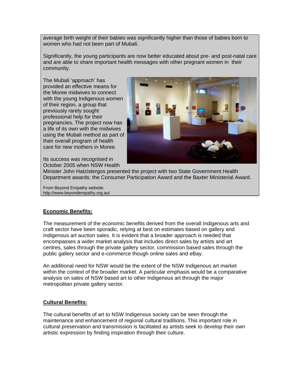average birth weight of their babies was significantly higher than those of babies born to women who had not been part of Mubali.

Significantly, the young participants are now better educated about pre- and post-natal care and are able to share important health messages with other pregnant women in their community.

The Mubali 'approach' has provided an effective means for the Moree midwives to connect with the young Indigenous women of their region, a group that previously rarely sought professional help for their pregnancies. The project now has a life of its own with the midwives using the Mubali method as part of their overall program of health care for new mothers in Moree.



Its success was recognised in October 2005 when NSW Health

Minister John Hatzistergos presented the project with two State Government Health Department awards: the Consumer Participation Award and the Baxter Ministerial Award.

From Beyond Empathy website. http://www.beyondempathy.org.au/

# **Economic Benefits:**

The measurement of the economic benefits derived from the overall Indigenous arts and craft sector have been sporadic, relying at best on estimates based on gallery and Indigenous art auction sales. It is evident that a broader approach is needed that encompasses a wider market analysis that includes direct sales by artists and art centres, sales through the private gallery sector, commission based sales through the public gallery sector and e-commerce though online sales and eBay.

An additional need for NSW would be the extent of the NSW Indigenous art market within the context of the broader market. A particular emphasis would be a comparative analysis on sales of NSW based art to other Indigenous art through the major metropolitan private gallery sector.

# **Cultural Benefits:**

The cultural benefits of art to NSW Indigenous society can be seen through the maintenance and enhancement of regional cultural traditions. This important role in cultural preservation and transmission is facilitated as artists seek to develop their own artistic expression by finding inspiration through their culture.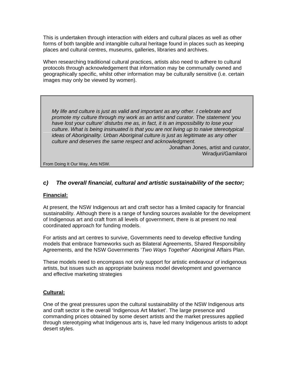This is undertaken through interaction with elders and cultural places as well as other forms of both tangible and intangible cultural heritage found in places such as keeping places and cultural centres, museums, galleries, libraries and archives.

When researching traditional cultural practices, artists also need to adhere to cultural protocols through acknowledgement that information may be communally owned and geographically specific, whilst other information may be culturally sensitive (i.e. certain images may only be viewed by women).

*My life and culture is just as valid and important as any other. I celebrate and promote my culture through my work as an artist and curator. The statement 'you have lost your culture' disturbs me as, in fact, it is an impossibility to lose your culture. What is being insinuated is that you are not living up to naive stereotypical ideas of Aboriginality. Urban Aboriginal culture is just as legitimate as any other culture and deserves the same respect and acknowledgment.* 

> Jonathan Jones, artist and curator, Wiradjuri/Gamilaroi

From Doing It Our Way, Arts NSW.

# *c) The overall financial, cultural and artistic sustainability of the sector;*

#### **Financial:**

At present, the NSW Indigenous art and craft sector has a limited capacity for financial sustainability. Although there is a range of funding sources available for the development of Indigenous art and craft from all levels of government, there is at present no real coordinated approach for funding models.

For artists and art centres to survive, Governments need to develop effective funding models that embrace frameworks such as Bilateral Agreements, Shared Responsibility Agreements, and the NSW Governments '*Two Ways Together'* Aboriginal Affairs Plan.

These models need to encompass not only support for artistic endeavour of indigenous artists, but issues such as appropriate business model development and governance and effective marketing strategies

# **Cultural:**

One of the great pressures upon the cultural sustainability of the NSW Indigenous arts and craft sector is the overall 'Indigenous Art Market'. The large presence and commanding prices obtained by some desert artists and the market pressures applied through stereotyping what Indigenous arts is, have led many Indigenous artists to adopt desert styles.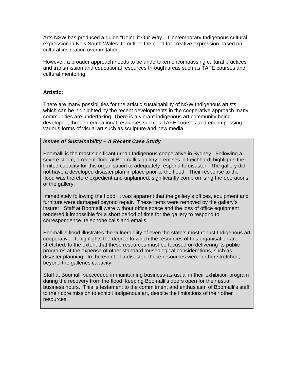Arts NSW has produced a guide "Doing it Our Way – Contemporary Indigenous cultural expression in New South Wales" to outline the need for creative expression based on cultural inspiration over imitation.

However, a broader approach needs to be undertaken encompassing cultural practices and transmission and educational resources through areas such as TAFE courses and cultural mentoring.

# **Artistic:**

There are many possibilities for the artistic sustainability of NSW Indigenous artists, which can be highlighted by the recent developments in the cooperative approach many communities are undertaking. There is a vibrant indigenous art community being developed, through educational resources such as TAFE courses and encompassing various forms of visual art such as sculpture and new media.

# *Issues of Sustainability – A Recent Case Study*

Boomalli is the most significant urban Indigenous cooperative in Sydney. Following a severe storm, a recent flood at Boomalli's gallery premises in Leichhardt highlights the limited capacity for this organisation to adequately respond to disaster. The gallery did not have a developed disaster plan in place prior to the flood. Their response to the flood was therefore expedient and unplanned, significantly compromising the operations of the gallery.

Immediately following the flood, it was apparent that the gallery's offices, equipment and furniture were damaged beyond repair. These items were removed by the gallery's insurer. Staff at Boomalli were without office space and the loss of office equipment rendered it impossible for a short period of time for the gallery to respond to correspondence, telephone calls and emails.

Boomalli's flood illustrates the vulnerability of even the state's most robust Indigenous art cooperative. It highlights the degree to which the resources of this organisation are stretched, to the extent that these resources must be focused on delivering its public programs at the expense of other standard museological considerations, such as disaster planning. In the event of a disaster, these resources were further stretched, beyond the galleries capacity.

Staff at Boomalli succeeded in maintaining business-as-usual in their exhibition program during the recovery from the flood, keeping Boomalli's doors open for their usual business hours. This is testament to the commitment and enthusiasm of Boomalli's staff to their core mission to exhibit Indigenous art, despite the limitations of their other resources.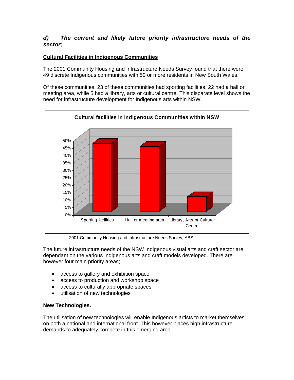# *d) The current and likely future priority infrastructure needs of the sector;*

# **Cultural Facilities in Indigenous Communities**

The 2001 Community Housing and Infrastructure Needs Survey found that there were 49 discrete Indigenous communities with 50 or more residents in New South Wales.

Of these communities, 23 of these communities had sporting facilities, 22 had a hall or meeting area, while 5 had a library, arts or cultural centre. This disparate level shows the need for infrastructure development for Indigenous arts within NSW.



2001 Community Housing and Infrastructure Needs Survey, ABS.

The future infrastructure needs of the NSW Indigenous visual arts and craft sector are dependant on the various Indigenous arts and craft models developed. There are however four main priority areas;

- access to gallery and exhibition space
- access to production and workshop space
- access to culturally appropriate spaces
- utilisation of new technologies

# **New Technologies.**

The utilisation of new technologies will enable Indigenous artists to market themselves on both a national and international front. This however places high infrastructure demands to adequately compete in this emerging area.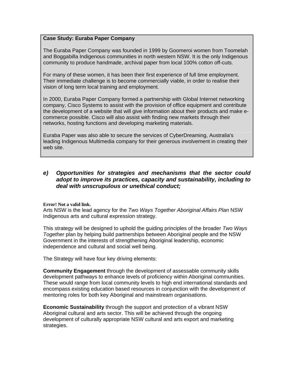# **Case Study: Euraba Paper Company**

The Euraba Paper Company was founded in 1999 by Goomeroi women from Toomelah and Boggabilla Indigenous communities in north western NSW. It is the only Indigenous community to produce handmade, archival paper from local 100% cotton off-cuts.

For many of these women, it has been their first experience of full time employment. Their immediate challenge is to become commercially viable, in order to realise their vision of long term local training and employment.

In 2000, Euraba Paper Company formed a partnership with Global Internet networking company, Cisco Systems to assist with the provision of office equipment and contribute the development of a website that will give information about their products and make ecommerce possible. Cisco will also assist with finding new markets through their networks, hosting functions and developing marketing materials.

Euraba Paper was also able to secure the services of CyberDreaming, Australia's leading Indigenous Multimedia company for their generous involvement in creating their web site.

# *e) Opportunities for strategies and mechanisms that the sector could adopt to improve its practices, capacity and sustainability, including to deal with unscrupulous or unethical conduct;*

**Error! Not a valid link.**

Arts NSW is the lead agency for the *Two Ways Together Aboriginal Affairs Plan* NSW Indigenous arts and cultural expression strategy.

This strategy will be designed to uphold the guiding principles of the broader *Two Ways Together* plan by helping build partnerships between Aboriginal people and the NSW Government in the interests of strengthening Aboriginal leadership, economic independence and cultural and social well being.

The Strategy will have four key driving elements:

**Community Engagement** through the development of assessable community skills development pathways to enhance levels of proficiency within Aboriginal communities. These would range from local community levels to high end international standards and encompass existing education based resources in conjunction with the development of mentoring roles for both key Aboriginal and mainstream organisations.

**Economic Sustainability** through the support and protection of a vibrant NSW Aboriginal cultural and arts sector. This will be achieved through the ongoing development of culturally appropriate NSW cultural and arts export and marketing strategies.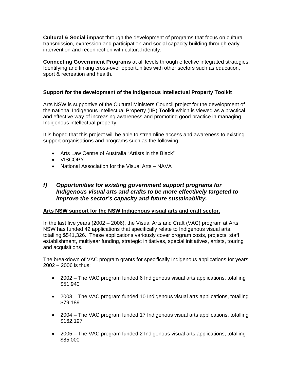**Cultural & Social impact** through the development of programs that focus on cultural transmission, expression and participation and social capacity building through early intervention and reconnection with cultural identity.

**Connecting Government Programs** at all levels through effective integrated strategies. Identifying and linking cross-over opportunities with other sectors such as education, sport & recreation and health.

# **Support for the development of the Indigenous Intellectual Property Toolkit**

Arts NSW is supportive of the Cultural Ministers Council project for the development of the national Indigenous Intellectual Property (IIP) Toolkit which is viewed as a practical and effective way of increasing awareness and promoting good practice in managing Indigenous intellectual property.

It is hoped that this project will be able to streamline access and awareness to existing support organisations and programs such as the following:

- [Arts Law Centre of Australia "Artists in the Black"](http://www.artslaw.com.au/Indigenous/)
- [VISCOPY](http://www.artslaw.com.au/Indigenous/)
- [National Association for the Visual Arts](http://www.visualarts.net.au/) NAVA

# *f) Opportunities for existing government support programs for Indigenous visual arts and crafts to be more effectively targeted to improve the sector's capacity and future sustainability.*

# **Arts NSW support for the NSW Indigenous visual arts and craft sector.**

In the last five years (2002 – 2006), the Visual Arts and Craft (VAC) program at Arts NSW has funded 42 applications that specifically relate to Indigenous visual arts, totalling \$541,326. These applications variously cover program costs, projects, staff establishment, multiyear funding, strategic initiatives, special initiatives, artists, touring and acquisitions.

The breakdown of VAC program grants for specifically Indigenous applications for years 2002 – 2006 is thus:

- 2002 The VAC program funded 6 Indigenous visual arts applications, totalling \$51,940
- 2003 The VAC program funded 10 Indigenous visual arts applications, totalling \$79,189
- 2004 The VAC program funded 17 Indigenous visual arts applications, totalling \$162,197
- 2005 The VAC program funded 2 Indigenous visual arts applications, totalling \$85,000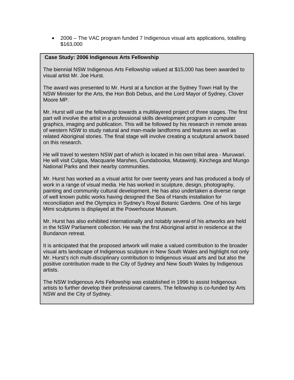• 2006 – The VAC program funded 7 Indigenous visual arts applications, totalling \$163,000

#### **Case Study: 2006 Indigenous Arts Fellowship**

The biennial NSW Indigenous Arts Fellowship valued at \$15,000 has been awarded to visual artist Mr. Joe Hurst.

The award was presented to Mr. Hurst at a function at the Sydney Town Hall by the NSW Minister for the Arts, the Hon Bob Debus, and the Lord Mayor of Sydney, Clover Moore MP.

Mr. Hurst will use the fellowship towards a multilayered project of three stages. The first part will involve the artist in a professional skills development program in computer graphics, imaging and publication. This will be followed by his research in remote areas of western NSW to study natural and man-made landforms and features as well as related Aboriginal stories. The final stage will involve creating a sculptural artwork based on this research.

He will travel to western NSW part of which is located in his own tribal area - Muruwari. He will visit Culgoa, Macquarie Marshes, Gundabooka, Mutawintji, Kinchega and Mungo National Parks and their nearby communities.

Mr. Hurst has worked as a visual artist for over twenty years and has produced a body of work in a range of visual media. He has worked in sculpture, design, photography, painting and community cultural development. He has also undertaken a diverse range of well known public works having designed the Sea of Hands installation for reconciliation and the Olympics in Sydney's Royal Botanic Gardens. One of his large Mimi sculptures is displayed at the Powerhouse Museum.

Mr. Hurst has also exhibited internationally and notably several of his artworks are held in the NSW Parliament collection. He was the first Aboriginal artist in residence at the Bundanon retreat.

It is anticipated that the proposed artwork will make a valued contribution to the broader visual arts landscape of Indigenous sculpture in New South Wales and highlight not only Mr. Hurst's rich multi-disciplinary contribution to Indigenous visual arts and but also the positive contribution made to the City of Sydney and New South Wales by Indigenous artists.

The NSW Indigenous Arts Fellowship was established in 1996 to assist Indigenous artists to further develop their professional careers. The fellowship is co-funded by Arts NSW and the City of Sydney.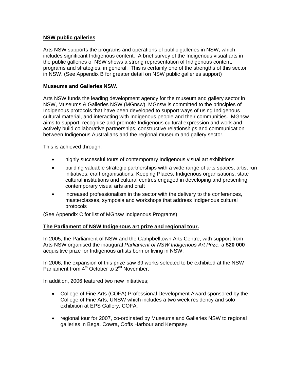# **NSW public galleries**

Arts NSW supports the programs and operations of public galleries in NSW, which includes significant Indigenous content. A brief survey of the Indigenous visual arts in the public galleries of NSW shows a strong representation of Indigenous content, programs and strategies, in general. This is certainly one of the strengths of this sector in NSW. (See Appendix B for greater detail on NSW public galleries support)

#### **Museums and Galleries NSW.**

Arts NSW funds the leading development agency for the museum and gallery sector in NSW, Museums & Galleries NSW (MGnsw). MGnsw is committed to the principles of Indigenous protocols that have been developed to support ways of using Indigenous cultural material, and interacting with Indigenous people and their communities. MGnsw aims to support, recognise and promote Indigenous cultural expression and work and actively build collaborative partnerships, constructive relationships and communication between Indigenous Australians and the regional museum and gallery sector.

This is achieved through:

- highly successful tours of contemporary Indigenous visual art exhibitions
- building valuable strategic partnerships with a wide range of arts spaces, artist run initiatives, craft organisations, Keeping Places, Indigenous organisations, state cultural institutions and cultural centres engaged in developing and presenting contemporary visual arts and craft
- increased professionalism in the sector with the delivery to the conferences, masterclasses, symposia and workshops that address Indigenous cultural protocols

(See Appendix C for list of MGnsw Indigenous Programs)

# **The Parliament of NSW Indigenous art prize and regional tour.**

In 2005, the Parliament of NSW and the Campbelltown Arts Centre, with support from Arts NSW organised the inaugural *Parliament of NSW Indigenous Art Prize,* a **\$20 000** acquisitive prize for Indigenous artists born or living in NSW.

In 2006, the expansion of this prize saw 39 works selected to be exhibited at the NSW Parliament from 4<sup>th</sup> October to 2<sup>nd</sup> November.

In addition, 2006 featured two new initiatives;

- College of Fine Arts (COFA) Professional Development Award sponsored by the College of Fine Arts, UNSW which includes a two week residency and solo exhibition at EPS Gallery, COFA.
- regional tour for 2007, co-ordinated by Museums and Galleries NSW to regional galleries in Bega, Cowra, Coffs Harbour and Kempsey.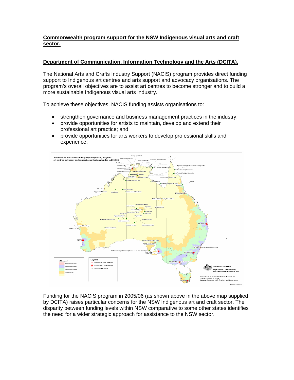# **Commonwealth program support for the NSW Indigenous visual arts and craft sector.**

# **Department of Communication, Information Technology and the Arts (DCITA).**

The National Arts and Crafts Industry Support (NACIS) program provides direct funding support to Indigenous art centres and arts support and advocacy organisations. The program's overall objectives are to assist art centres to become stronger and to build a more sustainable Indigenous visual arts industry.

To achieve these objectives, NACIS funding assists organisations to:

- strengthen governance and business management practices in the industry;
- provide opportunities for artists to maintain, develop and extend their professional art practice; and
- provide opportunities for arts workers to develop professional skills and experience.



Funding for the NACIS program in 2005/06 (as shown above in the above map supplied by DCITA) raises particular concerns for the NSW Indigenous art and craft sector. The disparity between funding levels within NSW comparative to some other states identifies the need for a wider strategic approach for assistance to the NSW sector.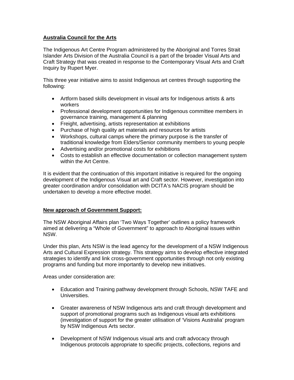# **Australia Council for the Arts**

The Indigenous Art Centre Program administered by the Aboriginal and Torres Strait Islander Arts Division of the Australia Council is a part of the broader Visual Arts and Craft Strategy that was created in response to the Contemporary Visual Arts and Craft Inquiry by Rupert Myer.

This three year initiative aims to assist Indigenous art centres through supporting the following:

- Artform based skills development in visual arts for Indigenous artists & arts workers
- Professional development opportunities for Indigenous committee members in governance training, management & planning
- Freight, advertising, artists representation at exhibitions
- Purchase of high quality art materials and resources for artists
- Workshops, cultural camps where the primary purpose is the transfer of traditional knowledge from Elders/Senior community members to young people
- Advertising and/or promotional costs for exhibitions
- Costs to establish an effective documentation or collection management system within the Art Centre.

It is evident that the continuation of this important initiative is required for the ongoing development of the Indigenous Visual art and Craft sector. However, investigation into greater coordination and/or consolidation with DCITA's NACIS program should be undertaken to develop a more effective model.

# **New approach of Government Support:**

The NSW Aboriginal Affairs plan 'Two Ways Together' outlines a policy framework aimed at delivering a "Whole of Government" to approach to Aboriginal issues within NSW.

Under this plan, Arts NSW is the lead agency for the development of a NSW Indigenous Arts and Cultural Expression strategy. This strategy aims to develop effective integrated strategies to identify and link cross-government opportunities through not only existing programs and funding but more importantly to develop new initiatives.

Areas under consideration are:

- Education and Training pathway development through Schools, NSW TAFE and Universities.
- Greater awareness of NSW Indigenous arts and craft through development and support of promotional programs such as Indigenous visual arts exhibitions (investigation of support for the greater utilisation of 'Visions Australia' program by NSW Indigenous Arts sector.
- Development of NSW Indigenous visual arts and craft advocacy through Indigenous protocols appropriate to specific projects, collections, regions and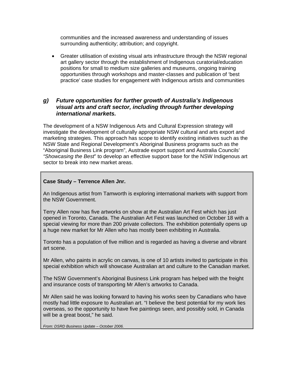communities and the increased awareness and understanding of issues surrounding authenticity; attribution; and copyright.

• Greater utilisation of existing visual arts infrastructure through the NSW regional art gallery sector through the establishment of Indigenous curatorial/education positions for small to medium size galleries and museums, ongoing training opportunities through workshops and master-classes and publication of 'best practice' case studies for engagement with Indigenous artists and communities

# *g) Future opportunities for further growth of Australia's Indigenous visual arts and craft sector, including through further developing international markets.*

The development of a NSW Indigenous Arts and Cultural Expression strategy will investigate the development of culturally appropriate NSW cultural and arts export and marketing strategies. This approach has scope to identify existing initiatives such as the NSW State and Regional Development's Aboriginal Business programs such as the "Aboriginal Business Link program", Austrade export support and Australia Councils' *"Showcasing the Best*" to develop an effective support base for the NSW Indigenous art sector to break into new market areas.

# **Case Study – Terrence Allen Jnr.**

An Indigenous artist from Tamworth is exploring international markets with support from the NSW Government.

Terry Allen now has five artworks on show at the Australian Art Fest which has just opened in Toronto, Canada. The Australian Art Fest was launched on October 18 with a special viewing for more than 200 private collectors. The exhibition potentially opens up a huge new market for Mr Allen who has mostly been exhibiting in Australia.

Toronto has a population of five million and is regarded as having a diverse and vibrant art scene.

Mr Allen, who paints in acrylic on canvas, is one of 10 artists invited to participate in this special exhibition which will showcase Australian art and culture to the Canadian market.

The NSW Government's Aboriginal Business Link program has helped with the freight and insurance costs of transporting Mr Allen's artworks to Canada.

Mr Allen said he was looking forward to having his works seen by Canadians who have mostly had little exposure to Australian art. "I believe the best potential for my work lies overseas, so the opportunity to have five paintings seen, and possibly sold, in Canada will be a great boost," he said.

*From: DSRD Business Update – October 2006.*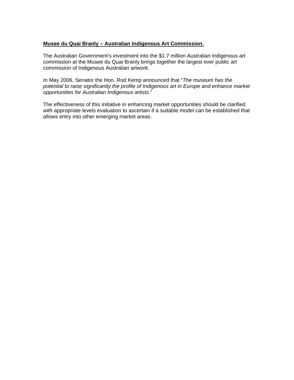#### **Musee du Quai Branly – Australian Indigenous Art Commission.**

The Australian Government's investment into the \$1.7 million Australian Indigenous art commission at the Musee du Quai Branly brings together the largest ever public art commission of Indigenous Australian artwork.

In May 2006, Senator the Hon. Rod Kemp announced that "*The museum has the potential to raise significantly the profile of Indigenous art in Europe and enhance market opportunities for Australian Indigenous artists*."

The effectiveness of this initiative in enhancing market opportunities should be clarified with appropriate levels evaluation to ascertain if a suitable model can be established that allows entry into other emerging market areas.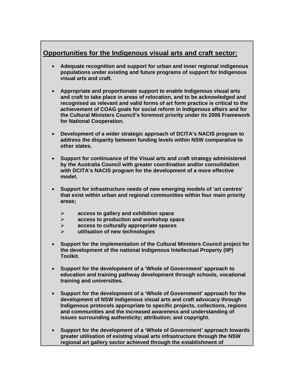# **Opportunities for the Indigenous visual arts and craft sector:**

- **Adequate recognition and support for urban and inner regional indigenous populations under existing and future programs of support for Indigenous visual arts and craft.**
- **Appropriate and proportionate support to enable Indigenous visual arts and craft to take place in areas of relocation, and to be acknowledged and recognised as relevant and valid forms of art form practice is critical to the achievement of COAG goals for social reform in Indigenous affairs and for the Cultural Ministers Council's foremost priority under its 2006 Framework for National Cooperation.**
- **Development of a wider strategic approach of DCITA's NACIS program to address the disparity between funding levels within NSW comparative to other states.**
- **Support for continuance of the Visual arts and craft strategy administered by the Australia Council with greater coordination and/or consolidation with DCITA's NACIS program for the development of a more effective model.**
- **Support for infrastructure needs of new emerging models of 'art centres' that exist within urban and regional communities within four main priority areas;** 
	- ¾ **access to gallery and exhibition space**
	- ¾ **access to production and workshop space**
	- ¾ **access to culturally appropriate spaces**
	- ¾ **utilisation of new technologies**
- **Support for the implementation of the Cultural Ministers Council project for the development of the national Indigenous Intellectual Property (IIP) Toolkit.**
- **Support for the development of a 'Whole of Government' approach to education and training pathway development through schools, vocational training and universities.**
- **Support for the development of a 'Whole of Government' approach for the development of NSW Indigenous visual arts and craft advocacy through Indigenous protocols appropriate to specific projects, collections, regions and communities and the increased awareness and understanding of issues surrounding authenticity; attribution; and copyright.**
- **Support for the development of a 'Whole of Government' approach towards greater utilisation of existing visual arts infrastructure through the NSW regional art gallery sector achieved through the establishment of**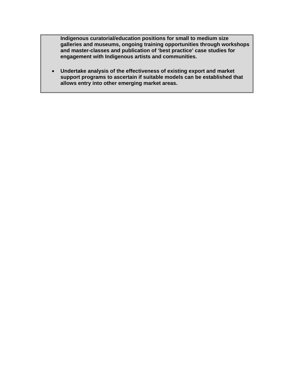**Indigenous curatorial/education positions for small to medium size galleries and museums, ongoing training opportunities through workshops and master-classes and publication of 'best practice' case studies for engagement with Indigenous artists and communities.** 

• **Undertake analysis of the effectiveness of existing export and market support programs to ascertain if suitable models can be established that allows entry into other emerging market areas.**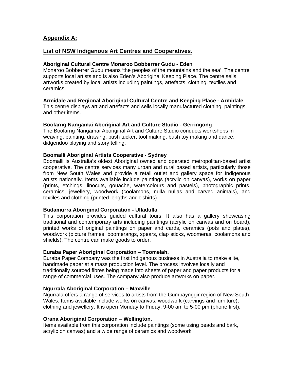# **Appendix A:**

# **List of NSW Indigenous Art Centres and Cooperatives.**

#### **Aboriginal Cultural Centre Monaroo Bobberrer Gudu - Eden**

Monaroo Bobberrer Gudu means 'the peoples of the mountains and the sea'. The centre supports local artists and is also Eden's Aboriginal Keeping Place. The centre sells artworks created by local artists including paintings, artefacts, clothing, textiles and ceramics.

#### **Armidale and Regional Aboriginal Cultural Centre and Keeping Place - Armidale**

This centre displays art and artefacts and sells locally manufactured clothing, paintings and other items.

#### **Boolarng Nangamai Aboriginal Art and Culture Studio - Gerringong**

The Boolarng Nangamai Aboriginal Art and Culture Studio conducts workshops in weaving, painting, drawing, bush tucker, tool making, bush toy making and dance, didgeridoo playing and story telling.

#### **Boomalli Aboriginal Artists Cooperative - Sydney**

Boomalli is Australia's oldest Aboriginal owned and operated metropolitan-based artist cooperative. The centre services many urban and rural based artists, particularly those from New South Wales and provide a retail outlet and gallery space for Indigenous artists nationally. Items available include paintings (acrylic on canvas), works on paper (prints, etchings, linocuts, gouache, watercolours and pastels), photographic prints, ceramics, jewellery, woodwork (coolamons, nulla nullas and carved animals), and textiles and clothing (printed lengths and t-shirts).

#### **Budamurra Aboriginal Corporation - Ulladulla**

This corporation provides guided cultural tours. It also has a gallery showcasing traditional and contemporary arts including paintings (acrylic on canvas and on board), printed works of original paintings on paper and cards, ceramics (pots and plates), woodwork (picture frames, boomerangs, spears, clap sticks, woomeras, coolamons and shields). The centre can make goods to order.

#### **Euraba Paper Aboriginal Corporation – Toomelah.**

Euraba Paper Company was the first Indigenous business in Australia to make elite, handmade paper at a mass production level. The process involves locally and traditionally sourced fibres being made into sheets of paper and paper products for a range of commercial uses. The company also produce artworks on paper.

#### **Ngurrala Aboriginal Corporation – Maxville**

Ngurrala offers a range of services to artists from the Gumbaynggir region of New South Wales. Items available include works on canvas, woodwork (carvings and furniture), clothing and jewellery. It is open Monday to Friday, 9-00 am to 5-00 pm (phone first).

#### **Orana Aboriginal Corporation – Wellington.**

Items available from this corporation include paintings (some using beads and bark, acrylic on canvas) and a wide range of ceramics and woodwork.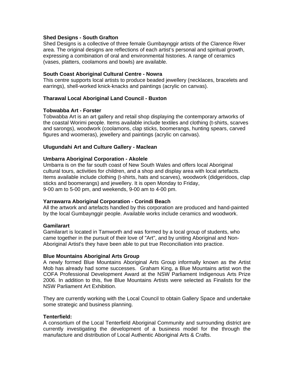#### **Shed Designs - South Grafton**

Shed Designs is a collective of three female Gumbaynggir artists of the Clarence River area. The original designs are reflections of each artist's personal and spiritual growth, expressing a combination of oral and environmental histories. A range of ceramics (vases, platters, coolamons and bowls) are available.

#### **South Coast Aboriginal Cultural Centre - Nowra**

This centre supports local artists to produce beaded jewellery (necklaces, bracelets and earrings), shell-worked knick-knacks and paintings (acrylic on canvas).

#### **Tharawal Local Aboriginal Land Council - Buxton**

#### **Tobwabba Art - Forster**

Tobwabba Art is an art gallery and retail shop displaying the contemporary artworks of the coastal Worimi people. Items available include textiles and clothing (t-shirts, scarves and sarongs), woodwork (coolamons, clap sticks, boomerangs, hunting spears, carved figures and woomeras), jewellery and paintings (acrylic on canvas).

#### **Ulugundahi Art and Culture Gallery - Maclean**

#### **Umbarra Aboriginal Corporation - Akolele**

Umbarra is on the far south coast of New South Wales and offers local Aboriginal cultural tours, activities for children, and a shop and display area with local artefacts. Items available include clothing (t-shirts, hats and scarves), woodwork (didgeridoos, clap sticks and boomerangs) and jewellery. It is open Monday to Friday, 9-00 am to 5-00 pm, and weekends, 9-00 am to 4-00 pm.

#### **Yarrawarra Aboriginal Corporation - Corindi Beach**

All the artwork and artefacts handled by this corporation are produced and hand-painted by the local Gumbaynggir people. Available works include ceramics and woodwork.

#### **Gamilarart**

Gamilarart is located in Tamworth and was formed by a local group of students, who came together in the pursuit of their love of "Art", and by uniting Aboriginal and Non-Aboriginal Artist's they have been able to put true Reconciliation into practice.

#### **Blue Mountains Aboriginal Arts Group**

A newly formed Blue Mountains Aboriginal Arts Group informally known as the Artist Mob has already had some successes. Graham King, a Blue Mountains artist won the COFA Professional Development Award at the NSW Parliament Indigenous Arts Prize 2006. In addition to this, five Blue Mountains Artists were selected as Finalists for the NSW Parliament Art Exhibition.

They are currently working with the Local Council to obtain Gallery Space and undertake some strategic and business planning.

#### **Tenterfield:**

A consortium of the Local Tenterfield Aboriginal Community and surrounding district are currently investigating the development of a business model for the through the manufacture and distribution of Local Authentic Aboriginal Arts & Crafts.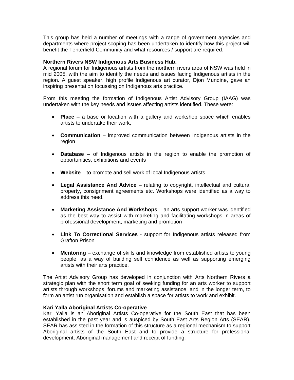This group has held a number of meetings with a range of government agencies and departments where project scoping has been undertaken to identify how this project will benefit the Tenterfield Community and what resources / support are required.

#### **Northern Rivers NSW Indigenous Arts Business Hub.**

A regional forum for Indigenous artists from the northern rivers area of NSW was held in mid 2005, with the aim to identify the needs and issues facing Indigenous artists in the region. A guest speaker, high profile Indigenous art curator, Djon Mundine, gave an inspiring presentation focussing on Indigenous arts practice.

From this meeting the formation of Indigenous Artist Advisory Group (IAAG) was undertaken with the key needs and issues affecting artists identified. These were:

- **Place**  a base or location with a gallery and workshop space which enables artists to undertake their work,
- **Communication**  improved communication between Indigenous artists in the region
- **Database**  of Indigenous artists in the region to enable the promotion of opportunities, exhibitions and events
- Website to promote and sell work of local Indigenous artists
- **Legal Assistance And Advice**  relating to copyright, intellectual and cultural property, consignment agreements etc. Workshops were identified as a way to address this need.
- **Marketing Assistance And Workshops**  an arts support worker was identified as the best way to assist with marketing and facilitating workshops in areas of professional development, marketing and promotion
- **Link To Correctional Services**  support for Indigenous artists released from Grafton Prison
- **Mentoring**  exchange of skills and knowledge from established artists to young people, as a way of building self confidence as well as supporting emerging artists with their arts practice.

The Artist Advisory Group has developed in conjunction with Arts Northern Rivers a strategic plan with the short term goal of seeking funding for an arts worker to support artists through workshops, forums and marketing assistance, and in the longer term, to form an artist run organisation and establish a space for artists to work and exhibit.

#### **Kari Yalla Aboriginal Artists Co-operative**

Kari Yalla is an Aboriginal Artists Co-operative for the South East that has been established in the past year and is auspiced by South East Arts Region Arts (SEAR). SEAR has assisted in the formation of this structure as a regional mechanism to support Aboriginal artists of the South East and to provide a structure for professional development, Aboriginal management and receipt of funding.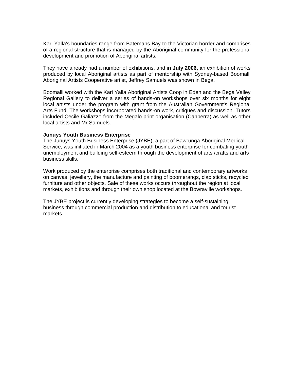Kari Yalla's boundaries range from Batemans Bay to the Victorian border and comprises of a regional structure that is managed by the Aboriginal community for the professional development and promotion of Aboriginal artists.

They have already had a number of exhibitions, and i**n July 2006, a**n exhibition of works produced by local Aboriginal artists as part of mentorship with Sydney-based Boomalli Aboriginal Artists Cooperative artist, Jeffrey Samuels was shown in Bega.

Boomalli worked with the Kari Yalla Aboriginal Artists Coop in Eden and the Bega Valley Regional Gallery to deliver a series of hands-on workshops over six months for eight local artists under the program with grant from the Australian Government's Regional Arts Fund. The workshops incorporated hands-on work, critiques and discussion. Tutors included Cecile Galiazzo from the Megalo print organisation (Canberra) as well as other local artists and Mr Samuels.

#### **Junuys Youth Business Enterprise**

The Junuys Youth Business Enterprise (JYBE), a part of Bawrunga Aboriginal Medical Service, was initiated in March 2004 as a youth business enterprise for combating youth unemployment and building self-esteem through the development of arts /crafts and arts business skills.

Work produced by the enterprise comprises both traditional and contemporary artworks on canvas, jewellery, the manufacture and painting of boomerangs, clap sticks, recycled furniture and other objects. Sale of these works occurs throughout the region at local markets, exhibitions and through their own shop located at the Bowraville workshops.

The JYBE project is currently developing strategies to become a self-sustaining business through commercial production and distribution to educational and tourist markets.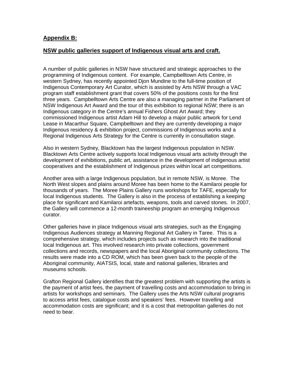# **Appendix B:**

# **NSW public galleries support of Indigenous visual arts and craft.**

A number of public galleries in NSW have structured and strategic approaches to the programming of Indigenous content. For example, Campbelltown Arts Centre, in western Sydney, has recently appointed Djon Mundine to the full-time position of Indigenous Contemporary Art Curator, which is assisted by Arts NSW through a VAC program staff establishment grant that covers 50% of the positions costs for the first three years. Campbelltown Arts Centre are also a managing partner in the Parliament of NSW Indigenous Art Award and the tour of this exhibition to regional NSW; there is an Indigenous category in the Centre's annual Fishers Ghost Art Award; they commissioned Indigenous artist Adam Hill to develop a major public artwork for Lend Lease in Macarthur Square, Campbelltown and they are currently developing a major Indigenous residency & exhibition project, commissions of Indigenous works and a Regional Indigenous Arts Strategy for the Centre is currently in consultation stage.

Also in western Sydney, Blacktown has the largest Indigenous population in NSW. Blacktown Arts Centre actively supports local Indigenous visual arts activity through the development of exhibitions, public art, assistance in the development of indigenous artist cooperatives and the establishment of Indigenous prizes within local art competitions.

Another area with a large Indigenous population, but in remote NSW, is Moree. The North West slopes and plains around Moree has been home to the Kamilaroi people for thousands of years. The Moree Plains Gallery runs workshops for TAFE, especially for local Indigenous students. The Gallery is also in the process of establishing a keeping place for significant and Kamilaroi artefacts, weapons, tools and carved stones. In 2007, the Gallery will commence a 12-month traineeship program an emerging Indigenous curator.

Other galleries have in place Indigenous visual arts strategies, such as the Engaging Indigenous Audiences strategy at Manning Regional Art Gallery in Taree. This is a comprehensive strategy, which includes projects such as research into the traditional local Indigenous art. This involved research into private collections, government collections and records, newspapers and the local Aboriginal community collections. The results were made into a CD ROM, which has been given back to the people of the Aboriginal community, AIATSIS, local, state and national galleries, libraries and museums schools.

Grafton Regional Gallery identifies that the greatest problem with supporting the artists is the payment of artist fees, the payment of travelling costs and accommodation to bring in artists for workshops and seminars. The Gallery uses the Arts NSW cultural programs to access artist fees, catalogue costs and speakers' fees. However travelling and accommodation costs are significant; and it is a cost that metropolitan galleries do not need to bear.